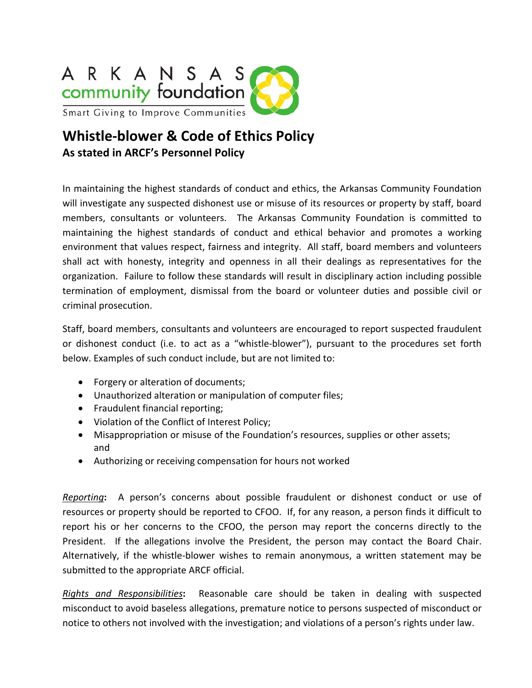

## **Whistle-blower & Code of Ethics Policy As stated in ARCF's Personnel Policy**

In maintaining the highest standards of conduct and ethics, the Arkansas Community Foundation will investigate any suspected dishonest use or misuse of its resources or property by staff, board members, consultants or volunteers. The Arkansas Community Foundation is committed to maintaining the highest standards of conduct and ethical behavior and promotes a working environment that values respect, fairness and integrity. All staff, board members and volunteers shall act with honesty, integrity and openness in all their dealings as representatives for the organization. Failure to follow these standards will result in disciplinary action including possible termination of employment, dismissal from the board or volunteer duties and possible civil or criminal prosecution.

Staff, board members, consultants and volunteers are encouraged to report suspected fraudulent or dishonest conduct (i.e. to act as a "whistle-blower"), pursuant to the procedures set forth below. Examples of such conduct include, but are not limited to:

- Forgery or alteration of documents;
- Unauthorized alteration or manipulation of computer files;
- Fraudulent financial reporting;
- Violation of the Conflict of Interest Policy;
- Misappropriation or misuse of the Foundation's resources, supplies or other assets; and
- Authorizing or receiving compensation for hours not worked

*Reporting***:** A person's concerns about possible fraudulent or dishonest conduct or use of resources or property should be reported to CFOO. If, for any reason, a person finds it difficult to report his or her concerns to the CFOO, the person may report the concerns directly to the President. If the allegations involve the President, the person may contact the Board Chair. Alternatively, if the whistle-blower wishes to remain anonymous, a written statement may be submitted to the appropriate ARCF official.

*Rights and Responsibilities***:** Reasonable care should be taken in dealing with suspected misconduct to avoid baseless allegations, premature notice to persons suspected of misconduct or notice to others not involved with the investigation; and violations of a person's rights under law.